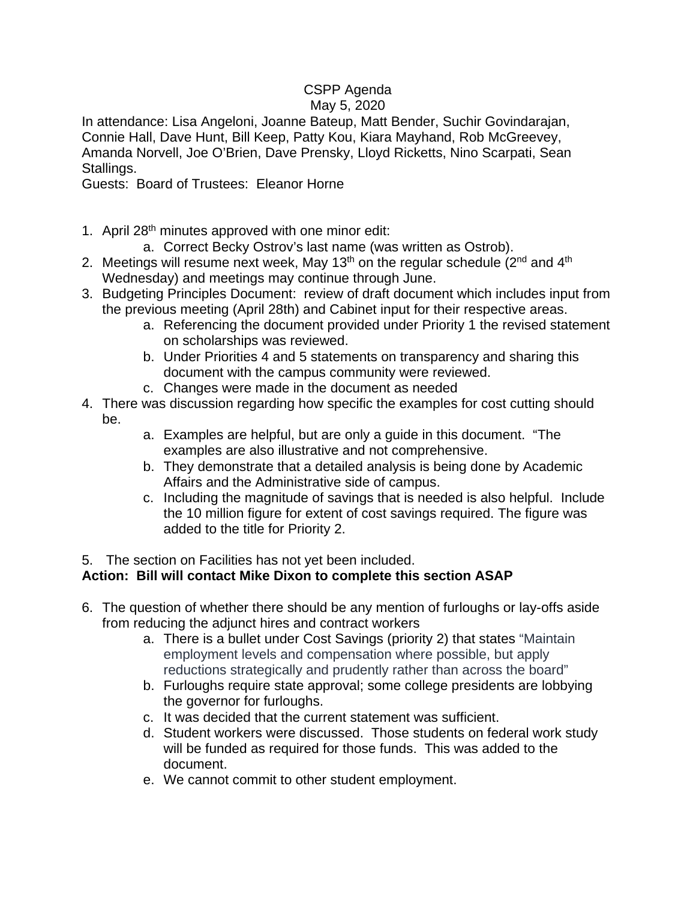## CSPP Agenda May 5, 2020

In attendance: Lisa Angeloni, Joanne Bateup, Matt Bender, Suchir Govindarajan, Connie Hall, Dave Hunt, Bill Keep, Patty Kou, Kiara Mayhand, Rob McGreevey, Amanda Norvell, Joe O'Brien, Dave Prensky, Lloyd Ricketts, Nino Scarpati, Sean Stallings.

Guests: Board of Trustees: Eleanor Horne

- 1. April 28<sup>th</sup> minutes approved with one minor edit:
	- a. Correct Becky Ostrov's last name (was written as Ostrob).
- 2. Meetings will resume next week, May 13<sup>th</sup> on the regular schedule ( $2<sup>nd</sup>$  and  $4<sup>th</sup>$ Wednesday) and meetings may continue through June.
- 3. Budgeting Principles Document: review of draft document which includes input from the previous meeting (April 28th) and Cabinet input for their respective areas.
	- a. Referencing the document provided under Priority 1 the revised statement on scholarships was reviewed.
	- b. Under Priorities 4 and 5 statements on transparency and sharing this document with the campus community were reviewed.
	- c. Changes were made in the document as needed
- 4. There was discussion regarding how specific the examples for cost cutting should be.
	- a. Examples are helpful, but are only a guide in this document. "The examples are also illustrative and not comprehensive.
	- b. They demonstrate that a detailed analysis is being done by Academic Affairs and the Administrative side of campus.
	- c. Including the magnitude of savings that is needed is also helpful. Include the 10 million figure for extent of cost savings required. The figure was added to the title for Priority 2.

## 5. The section on Facilities has not yet been included.

## **Action: Bill will contact Mike Dixon to complete this section ASAP**

- 6. The question of whether there should be any mention of furloughs or lay-offs aside from reducing the adjunct hires and contract workers
	- a. There is a bullet under Cost Savings (priority 2) that states "Maintain employment levels and compensation where possible, but apply reductions strategically and prudently rather than across the board"
	- b. Furloughs require state approval; some college presidents are lobbying the governor for furloughs.
	- c. It was decided that the current statement was sufficient.
	- d. Student workers were discussed. Those students on federal work study will be funded as required for those funds. This was added to the document.
	- e. We cannot commit to other student employment.